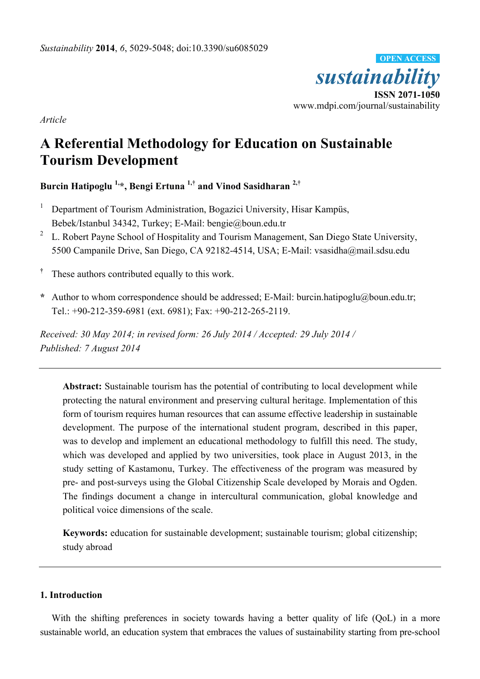

*Article*

# **A Referential Methodology for Education on Sustainable Tourism Development**

**Burcin Hatipoglu 1,\*, Bengi Ertuna 1,† and Vinod Sasidharan 2,†**

- 1 Department of Tourism Administration, Bogazici University, Hisar Kampüs, Bebek/Istanbul 34342, Turkey; E-Mail: bengie@boun.edu.tr
- 2 L. Robert Payne School of Hospitality and Tourism Management, San Diego State University, 5500 Campanile Drive, San Diego, CA 92182-4514, USA; E-Mail: vsasidha@mail.sdsu.edu
- **†** These authors contributed equally to this work.
- **\*** Author to whom correspondence should be addressed; E-Mail: burcin.hatipoglu@boun.edu.tr; Tel.: +90-212-359-6981 (ext. 6981); Fax: +90-212-265-2119.

*Received: 30 May 2014; in revised form: 26 July 2014 / Accepted: 29 July 2014 / Published: 7 August 2014* 

**Abstract:** Sustainable tourism has the potential of contributing to local development while protecting the natural environment and preserving cultural heritage. Implementation of this form of tourism requires human resources that can assume effective leadership in sustainable development. The purpose of the international student program, described in this paper, was to develop and implement an educational methodology to fulfill this need. The study, which was developed and applied by two universities, took place in August 2013, in the study setting of Kastamonu, Turkey. The effectiveness of the program was measured by pre- and post-surveys using the Global Citizenship Scale developed by Morais and Ogden. The findings document a change in intercultural communication, global knowledge and political voice dimensions of the scale.

**Keywords:** education for sustainable development; sustainable tourism; global citizenship; study abroad

# **1. Introduction**

With the shifting preferences in society towards having a better quality of life (QoL) in a more sustainable world, an education system that embraces the values of sustainability starting from pre-school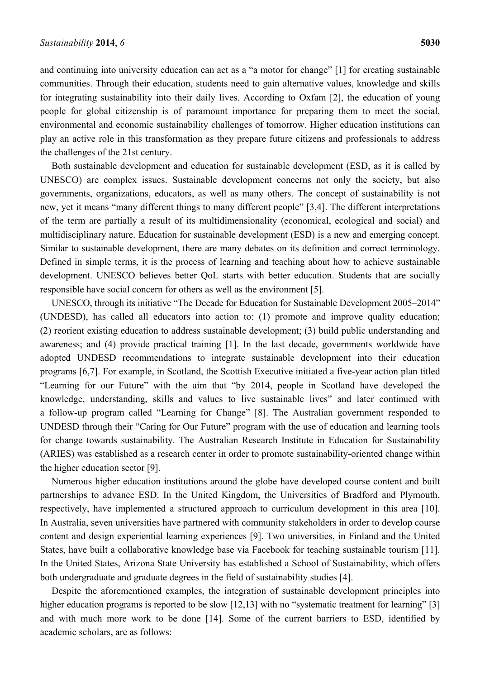and continuing into university education can act as a "a motor for change" [1] for creating sustainable communities. Through their education, students need to gain alternative values, knowledge and skills for integrating sustainability into their daily lives. According to Oxfam [2], the education of young people for global citizenship is of paramount importance for preparing them to meet the social, environmental and economic sustainability challenges of tomorrow. Higher education institutions can play an active role in this transformation as they prepare future citizens and professionals to address the challenges of the 21st century.

Both sustainable development and education for sustainable development (ESD, as it is called by UNESCO) are complex issues. Sustainable development concerns not only the society, but also governments, organizations, educators, as well as many others. The concept of sustainability is not new, yet it means "many different things to many different people" [3,4]. The different interpretations of the term are partially a result of its multidimensionality (economical, ecological and social) and multidisciplinary nature. Education for sustainable development (ESD) is a new and emerging concept. Similar to sustainable development, there are many debates on its definition and correct terminology. Defined in simple terms, it is the process of learning and teaching about how to achieve sustainable development. UNESCO believes better QoL starts with better education. Students that are socially responsible have social concern for others as well as the environment [5].

UNESCO, through its initiative "The Decade for Education for Sustainable Development 2005–2014" (UNDESD), has called all educators into action to: (1) promote and improve quality education; (2) reorient existing education to address sustainable development; (3) build public understanding and awareness; and (4) provide practical training [1]. In the last decade, governments worldwide have adopted UNDESD recommendations to integrate sustainable development into their education programs [6,7]. For example, in Scotland, the Scottish Executive initiated a five-year action plan titled "Learning for our Future" with the aim that "by 2014, people in Scotland have developed the knowledge, understanding, skills and values to live sustainable lives" and later continued with a follow-up program called "Learning for Change" [8]. The Australian government responded to UNDESD through their "Caring for Our Future" program with the use of education and learning tools for change towards sustainability. The Australian Research Institute in Education for Sustainability (ARIES) was established as a research center in order to promote sustainability-oriented change within the higher education sector [9].

Numerous higher education institutions around the globe have developed course content and built partnerships to advance ESD. In the United Kingdom, the Universities of Bradford and Plymouth, respectively, have implemented a structured approach to curriculum development in this area [10]. In Australia, seven universities have partnered with community stakeholders in order to develop course content and design experiential learning experiences [9]. Two universities, in Finland and the United States, have built a collaborative knowledge base via Facebook for teaching sustainable tourism [11]. In the United States, Arizona State University has established a School of Sustainability, which offers both undergraduate and graduate degrees in the field of sustainability studies [4].

Despite the aforementioned examples, the integration of sustainable development principles into higher education programs is reported to be slow [12,13] with no "systematic treatment for learning" [3] and with much more work to be done [14]. Some of the current barriers to ESD, identified by academic scholars, are as follows: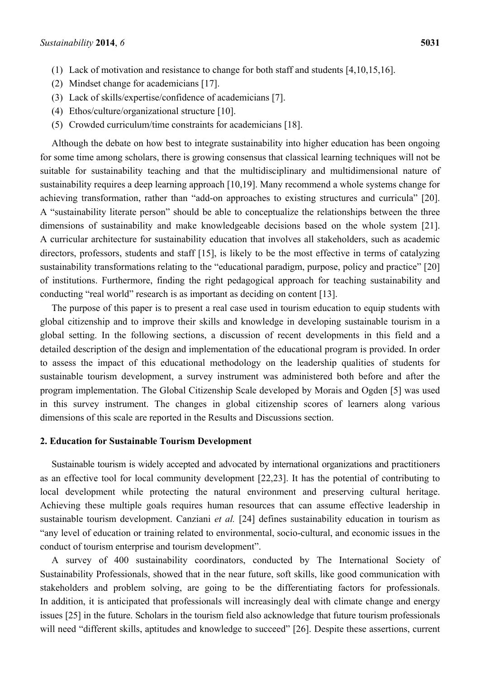- (1) Lack of motivation and resistance to change for both staff and students [4,10,15,16].
- (2) Mindset change for academicians [17].
- (3) Lack of skills/expertise/confidence of academicians [7].
- (4) Ethos/culture/organizational structure [10].
- (5) Crowded curriculum/time constraints for academicians [18].

Although the debate on how best to integrate sustainability into higher education has been ongoing for some time among scholars, there is growing consensus that classical learning techniques will not be suitable for sustainability teaching and that the multidisciplinary and multidimensional nature of sustainability requires a deep learning approach [10,19]. Many recommend a whole systems change for achieving transformation, rather than "add-on approaches to existing structures and curricula" [20]. A "sustainability literate person" should be able to conceptualize the relationships between the three dimensions of sustainability and make knowledgeable decisions based on the whole system [21]. A curricular architecture for sustainability education that involves all stakeholders, such as academic directors, professors, students and staff [15], is likely to be the most effective in terms of catalyzing sustainability transformations relating to the "educational paradigm, purpose, policy and practice" [20] of institutions. Furthermore, finding the right pedagogical approach for teaching sustainability and conducting "real world" research is as important as deciding on content [13].

The purpose of this paper is to present a real case used in tourism education to equip students with global citizenship and to improve their skills and knowledge in developing sustainable tourism in a global setting. In the following sections, a discussion of recent developments in this field and a detailed description of the design and implementation of the educational program is provided. In order to assess the impact of this educational methodology on the leadership qualities of students for sustainable tourism development, a survey instrument was administered both before and after the program implementation. The Global Citizenship Scale developed by Morais and Ogden [5] was used in this survey instrument. The changes in global citizenship scores of learners along various dimensions of this scale are reported in the Results and Discussions section.

### **2. Education for Sustainable Tourism Development**

Sustainable tourism is widely accepted and advocated by international organizations and practitioners as an effective tool for local community development [22,23]. It has the potential of contributing to local development while protecting the natural environment and preserving cultural heritage. Achieving these multiple goals requires human resources that can assume effective leadership in sustainable tourism development. Canziani *et al.* [24] defines sustainability education in tourism as "any level of education or training related to environmental, socio-cultural, and economic issues in the conduct of tourism enterprise and tourism development".

A survey of 400 sustainability coordinators, conducted by The International Society of Sustainability Professionals, showed that in the near future, soft skills, like good communication with stakeholders and problem solving, are going to be the differentiating factors for professionals. In addition, it is anticipated that professionals will increasingly deal with climate change and energy issues [25] in the future. Scholars in the tourism field also acknowledge that future tourism professionals will need "different skills, aptitudes and knowledge to succeed" [26]. Despite these assertions, current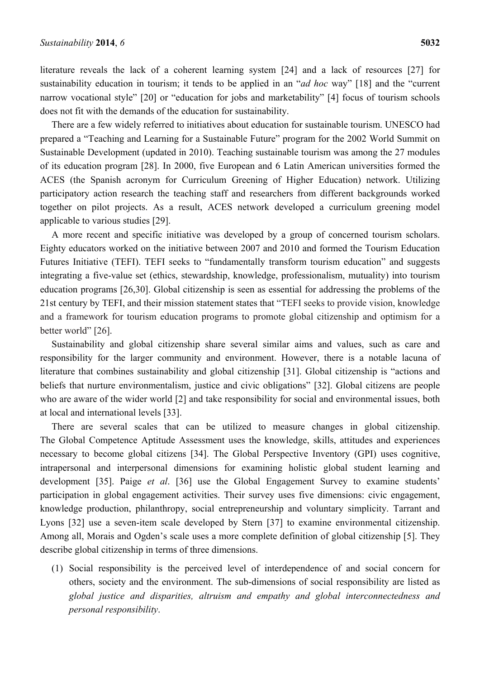literature reveals the lack of a coherent learning system [24] and a lack of resources [27] for sustainability education in tourism; it tends to be applied in an "*ad hoc* way" [18] and the "current narrow vocational style" [20] or "education for jobs and marketability" [4] focus of tourism schools does not fit with the demands of the education for sustainability.

There are a few widely referred to initiatives about education for sustainable tourism. UNESCO had prepared a "Teaching and Learning for a Sustainable Future" program for the 2002 World Summit on Sustainable Development (updated in 2010). Teaching sustainable tourism was among the 27 modules of its education program [28]. In 2000, five European and 6 Latin American universities formed the ACES (the Spanish acronym for Curriculum Greening of Higher Education) network. Utilizing participatory action research the teaching staff and researchers from different backgrounds worked together on pilot projects. As a result, ACES network developed a curriculum greening model applicable to various studies [29].

A more recent and specific initiative was developed by a group of concerned tourism scholars. Eighty educators worked on the initiative between 2007 and 2010 and formed the Tourism Education Futures Initiative (TEFI). TEFI seeks to "fundamentally transform tourism education" and suggests integrating a five-value set (ethics, stewardship, knowledge, professionalism, mutuality) into tourism education programs [26,30]. Global citizenship is seen as essential for addressing the problems of the 21st century by TEFI, and their mission statement states that "TEFI seeks to provide vision, knowledge and a framework for tourism education programs to promote global citizenship and optimism for a better world" [26].

Sustainability and global citizenship share several similar aims and values, such as care and responsibility for the larger community and environment. However, there is a notable lacuna of literature that combines sustainability and global citizenship [31]. Global citizenship is "actions and beliefs that nurture environmentalism, justice and civic obligations" [32]. Global citizens are people who are aware of the wider world [2] and take responsibility for social and environmental issues, both at local and international levels [33].

There are several scales that can be utilized to measure changes in global citizenship. The Global Competence Aptitude Assessment uses the knowledge, skills, attitudes and experiences necessary to become global citizens [34]. The Global Perspective Inventory (GPI) uses cognitive, intrapersonal and interpersonal dimensions for examining holistic global student learning and development [35]. Paige *et al*. [36] use the Global Engagement Survey to examine students' participation in global engagement activities. Their survey uses five dimensions: civic engagement, knowledge production, philanthropy, social entrepreneurship and voluntary simplicity. Tarrant and Lyons [32] use a seven-item scale developed by Stern [37] to examine environmental citizenship. Among all, Morais and Ogden's scale uses a more complete definition of global citizenship [5]. They describe global citizenship in terms of three dimensions.

(1) Social responsibility is the perceived level of interdependence of and social concern for others, society and the environment. The sub-dimensions of social responsibility are listed as *global justice and disparities, altruism and empathy and global interconnectedness and personal responsibility*.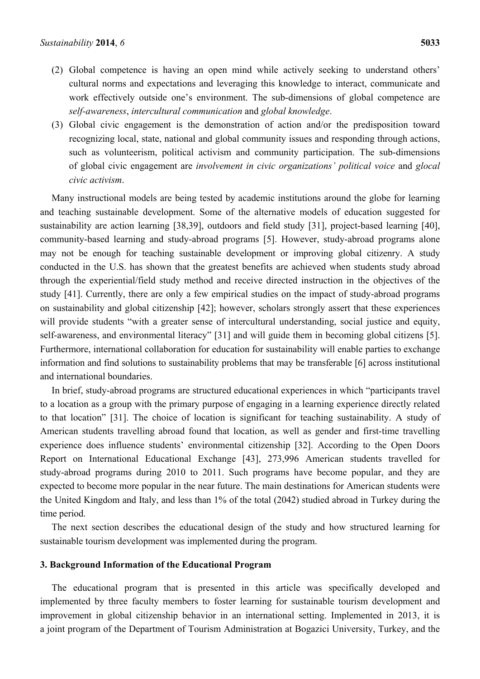- (2) Global competence is having an open mind while actively seeking to understand others' cultural norms and expectations and leveraging this knowledge to interact, communicate and work effectively outside one's environment. The sub-dimensions of global competence are *self-awareness*, *intercultural communication* and *global knowledge*.
- (3) Global civic engagement is the demonstration of action and/or the predisposition toward recognizing local, state, national and global community issues and responding through actions, such as volunteerism, political activism and community participation. The sub-dimensions of global civic engagement are *involvement in civic organizations' political voice* and *glocal civic activism*.

Many instructional models are being tested by academic institutions around the globe for learning and teaching sustainable development. Some of the alternative models of education suggested for sustainability are action learning [38,39], outdoors and field study [31], project-based learning [40], community-based learning and study-abroad programs [5]. However, study-abroad programs alone may not be enough for teaching sustainable development or improving global citizenry. A study conducted in the U.S. has shown that the greatest benefits are achieved when students study abroad through the experiential/field study method and receive directed instruction in the objectives of the study [41]. Currently, there are only a few empirical studies on the impact of study-abroad programs on sustainability and global citizenship [42]; however, scholars strongly assert that these experiences will provide students "with a greater sense of intercultural understanding, social justice and equity, self-awareness, and environmental literacy" [31] and will guide them in becoming global citizens [5]. Furthermore, international collaboration for education for sustainability will enable parties to exchange information and find solutions to sustainability problems that may be transferable [6] across institutional and international boundaries.

In brief, study-abroad programs are structured educational experiences in which "participants travel to a location as a group with the primary purpose of engaging in a learning experience directly related to that location" [31]. The choice of location is significant for teaching sustainability. A study of American students travelling abroad found that location, as well as gender and first-time travelling experience does influence students' environmental citizenship [32]. According to the Open Doors Report on International Educational Exchange [43], 273,996 American students travelled for study-abroad programs during 2010 to 2011. Such programs have become popular, and they are expected to become more popular in the near future. The main destinations for American students were the United Kingdom and Italy, and less than 1% of the total (2042) studied abroad in Turkey during the time period.

The next section describes the educational design of the study and how structured learning for sustainable tourism development was implemented during the program.

#### **3. Background Information of the Educational Program**

The educational program that is presented in this article was specifically developed and implemented by three faculty members to foster learning for sustainable tourism development and improvement in global citizenship behavior in an international setting. Implemented in 2013, it is a joint program of the Department of Tourism Administration at Bogazici University, Turkey, and the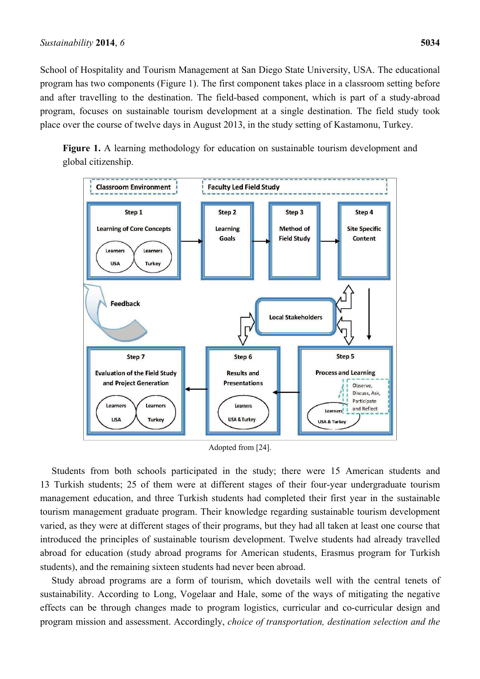School of Hospitality and Tourism Management at San Diego State University, USA. The educational program has two components (Figure 1). The first component takes place in a classroom setting before and after travelling to the destination. The field-based component, which is part of a study-abroad program, focuses on sustainable tourism development at a single destination. The field study took place over the course of twelve days in August 2013, in the study setting of Kastamonu, Turkey.

Figure 1. A learning methodology for education on sustainable tourism development and global citizenship.



Adopted from [24].

Students from both schools participated in the study; there were 15 American students and 13 Turkish students; 25 of them were at different stages of their four-year undergraduate tourism management education, and three Turkish students had completed their first year in the sustainable tourism management graduate program. Their knowledge regarding sustainable tourism development varied, as they were at different stages of their programs, but they had all taken at least one course that introduced the principles of sustainable tourism development. Twelve students had already travelled abroad for education (study abroad programs for American students, Erasmus program for Turkish students), and the remaining sixteen students had never been abroad.

Study abroad programs are a form of tourism, which dovetails well with the central tenets of sustainability. According to Long, Vogelaar and Hale, some of the ways of mitigating the negative effects can be through changes made to program logistics, curricular and co-curricular design and program mission and assessment. Accordingly, *choice of transportation, destination selection and the*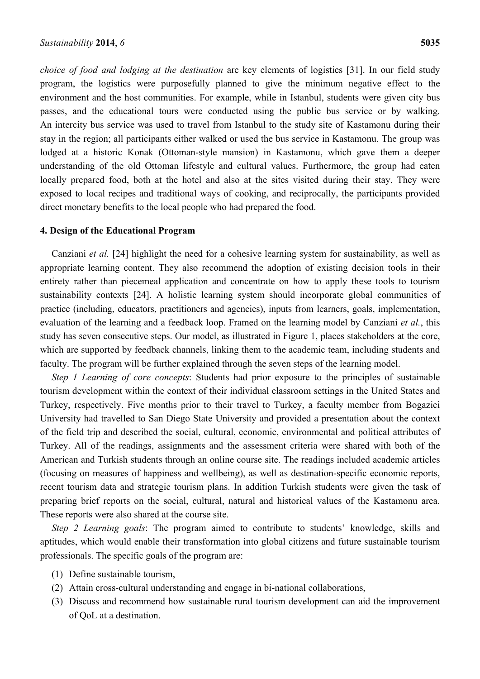*choice of food and lodging at the destination* are key elements of logistics [31]. In our field study program, the logistics were purposefully planned to give the minimum negative effect to the environment and the host communities. For example, while in Istanbul, students were given city bus passes, and the educational tours were conducted using the public bus service or by walking. An intercity bus service was used to travel from Istanbul to the study site of Kastamonu during their stay in the region; all participants either walked or used the bus service in Kastamonu. The group was lodged at a historic Konak (Ottoman-style mansion) in Kastamonu, which gave them a deeper understanding of the old Ottoman lifestyle and cultural values. Furthermore, the group had eaten locally prepared food, both at the hotel and also at the sites visited during their stay. They were exposed to local recipes and traditional ways of cooking, and reciprocally, the participants provided direct monetary benefits to the local people who had prepared the food.

## **4. Design of the Educational Program**

Canziani *et al.* [24] highlight the need for a cohesive learning system for sustainability, as well as appropriate learning content. They also recommend the adoption of existing decision tools in their entirety rather than piecemeal application and concentrate on how to apply these tools to tourism sustainability contexts [24]. A holistic learning system should incorporate global communities of practice (including, educators, practitioners and agencies), inputs from learners, goals, implementation, evaluation of the learning and a feedback loop. Framed on the learning model by Canziani *et al.*, this study has seven consecutive steps. Our model, as illustrated in Figure 1, places stakeholders at the core, which are supported by feedback channels, linking them to the academic team, including students and faculty. The program will be further explained through the seven steps of the learning model.

*Step 1 Learning of core concepts*: Students had prior exposure to the principles of sustainable tourism development within the context of their individual classroom settings in the United States and Turkey, respectively. Five months prior to their travel to Turkey, a faculty member from Bogazici University had travelled to San Diego State University and provided a presentation about the context of the field trip and described the social, cultural, economic, environmental and political attributes of Turkey. All of the readings, assignments and the assessment criteria were shared with both of the American and Turkish students through an online course site. The readings included academic articles (focusing on measures of happiness and wellbeing), as well as destination-specific economic reports, recent tourism data and strategic tourism plans. In addition Turkish students were given the task of preparing brief reports on the social, cultural, natural and historical values of the Kastamonu area. These reports were also shared at the course site.

*Step 2 Learning goals*: The program aimed to contribute to students' knowledge, skills and aptitudes, which would enable their transformation into global citizens and future sustainable tourism professionals. The specific goals of the program are:

- (1) Define sustainable tourism,
- (2) Attain cross-cultural understanding and engage in bi-national collaborations,
- (3) Discuss and recommend how sustainable rural tourism development can aid the improvement of QoL at a destination.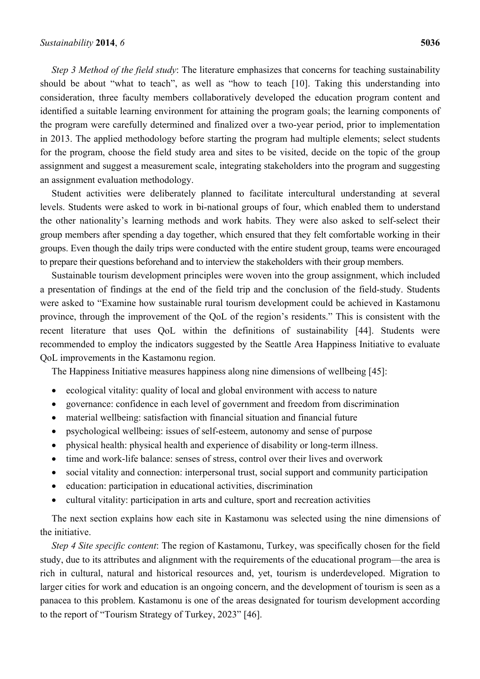*Step 3 Method of the field study*: The literature emphasizes that concerns for teaching sustainability should be about "what to teach", as well as "how to teach [10]. Taking this understanding into consideration, three faculty members collaboratively developed the education program content and identified a suitable learning environment for attaining the program goals; the learning components of the program were carefully determined and finalized over a two-year period, prior to implementation in 2013. The applied methodology before starting the program had multiple elements; select students for the program, choose the field study area and sites to be visited, decide on the topic of the group assignment and suggest a measurement scale, integrating stakeholders into the program and suggesting an assignment evaluation methodology.

Student activities were deliberately planned to facilitate intercultural understanding at several levels. Students were asked to work in bi-national groups of four, which enabled them to understand the other nationality's learning methods and work habits. They were also asked to self-select their group members after spending a day together, which ensured that they felt comfortable working in their groups. Even though the daily trips were conducted with the entire student group, teams were encouraged to prepare their questions beforehand and to interview the stakeholders with their group members.

Sustainable tourism development principles were woven into the group assignment, which included a presentation of findings at the end of the field trip and the conclusion of the field-study. Students were asked to "Examine how sustainable rural tourism development could be achieved in Kastamonu province, through the improvement of the QoL of the region's residents." This is consistent with the recent literature that uses QoL within the definitions of sustainability [44]. Students were recommended to employ the indicators suggested by the Seattle Area Happiness Initiative to evaluate QoL improvements in the Kastamonu region.

The Happiness Initiative measures happiness along nine dimensions of wellbeing [45]:

- ecological vitality: quality of local and global environment with access to nature
- governance: confidence in each level of government and freedom from discrimination
- material wellbeing: satisfaction with financial situation and financial future
- psychological wellbeing: issues of self-esteem, autonomy and sense of purpose
- physical health: physical health and experience of disability or long-term illness.
- time and work-life balance: senses of stress, control over their lives and overwork
- social vitality and connection: interpersonal trust, social support and community participation
- education: participation in educational activities, discrimination
- cultural vitality: participation in arts and culture, sport and recreation activities

The next section explains how each site in Kastamonu was selected using the nine dimensions of the initiative.

*Step 4 Site specific content*: The region of Kastamonu, Turkey, was specifically chosen for the field study, due to its attributes and alignment with the requirements of the educational program—the area is rich in cultural, natural and historical resources and, yet, tourism is underdeveloped. Migration to larger cities for work and education is an ongoing concern, and the development of tourism is seen as a panacea to this problem. Kastamonu is one of the areas designated for tourism development according to the report of "Tourism Strategy of Turkey, 2023" [46].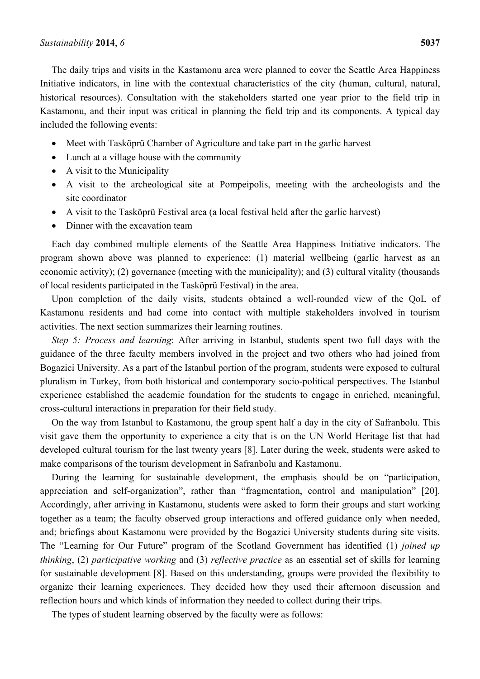The daily trips and visits in the Kastamonu area were planned to cover the Seattle Area Happiness Initiative indicators, in line with the contextual characteristics of the city (human, cultural, natural, historical resources). Consultation with the stakeholders started one year prior to the field trip in Kastamonu, and their input was critical in planning the field trip and its components. A typical day included the following events:

- Meet with Tasköprü Chamber of Agriculture and take part in the garlic harvest
- Lunch at a village house with the community
- A visit to the Municipality
- A visit to the archeological site at Pompeipolis, meeting with the archeologists and the site coordinator
- A visit to the Tasköprü Festival area (a local festival held after the garlic harvest)
- Dinner with the excavation team

Each day combined multiple elements of the Seattle Area Happiness Initiative indicators. The program shown above was planned to experience: (1) material wellbeing (garlic harvest as an economic activity); (2) governance (meeting with the municipality); and (3) cultural vitality (thousands of local residents participated in the Tasköprü Festival) in the area.

Upon completion of the daily visits, students obtained a well-rounded view of the QoL of Kastamonu residents and had come into contact with multiple stakeholders involved in tourism activities. The next section summarizes their learning routines.

*Step 5: Process and learning*: After arriving in Istanbul, students spent two full days with the guidance of the three faculty members involved in the project and two others who had joined from Bogazici University. As a part of the Istanbul portion of the program, students were exposed to cultural pluralism in Turkey, from both historical and contemporary socio-political perspectives. The Istanbul experience established the academic foundation for the students to engage in enriched, meaningful, cross-cultural interactions in preparation for their field study.

On the way from Istanbul to Kastamonu, the group spent half a day in the city of Safranbolu. This visit gave them the opportunity to experience a city that is on the UN World Heritage list that had developed cultural tourism for the last twenty years [8]. Later during the week, students were asked to make comparisons of the tourism development in Safranbolu and Kastamonu.

During the learning for sustainable development, the emphasis should be on "participation, appreciation and self-organization", rather than "fragmentation, control and manipulation" [20]. Accordingly, after arriving in Kastamonu, students were asked to form their groups and start working together as a team; the faculty observed group interactions and offered guidance only when needed, and; briefings about Kastamonu were provided by the Bogazici University students during site visits. The "Learning for Our Future" program of the Scotland Government has identified (1) *joined up thinking*, (2) *participative working* and (3) *reflective practice* as an essential set of skills for learning for sustainable development [8]. Based on this understanding, groups were provided the flexibility to organize their learning experiences. They decided how they used their afternoon discussion and reflection hours and which kinds of information they needed to collect during their trips.

The types of student learning observed by the faculty were as follows: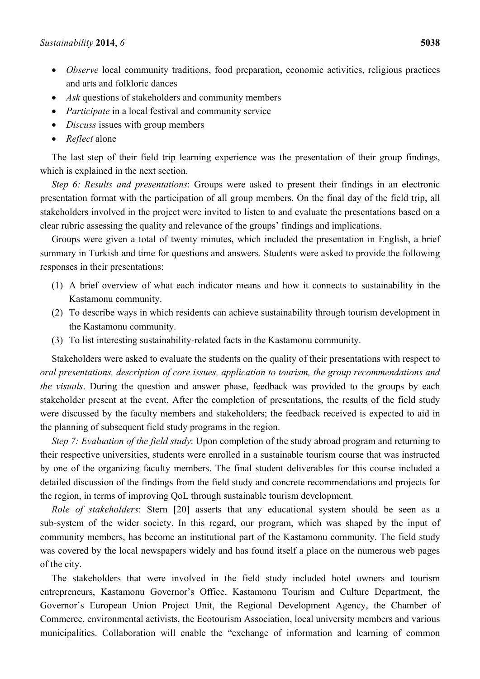- *Observe* local community traditions, food preparation, economic activities, religious practices and arts and folkloric dances
- *Ask* questions of stakeholders and community members
- *Participate* in a local festival and community service
- *Discuss* issues with group members
- *Reflect* alone

The last step of their field trip learning experience was the presentation of their group findings, which is explained in the next section.

*Step 6: Results and presentations*: Groups were asked to present their findings in an electronic presentation format with the participation of all group members. On the final day of the field trip, all stakeholders involved in the project were invited to listen to and evaluate the presentations based on a clear rubric assessing the quality and relevance of the groups' findings and implications.

Groups were given a total of twenty minutes, which included the presentation in English, a brief summary in Turkish and time for questions and answers. Students were asked to provide the following responses in their presentations:

- (1) A brief overview of what each indicator means and how it connects to sustainability in the Kastamonu community.
- (2) To describe ways in which residents can achieve sustainability through tourism development in the Kastamonu community.
- (3) To list interesting sustainability-related facts in the Kastamonu community.

Stakeholders were asked to evaluate the students on the quality of their presentations with respect to *oral presentations, description of core issues, application to tourism, the group recommendations and the visuals*. During the question and answer phase, feedback was provided to the groups by each stakeholder present at the event. After the completion of presentations, the results of the field study were discussed by the faculty members and stakeholders; the feedback received is expected to aid in the planning of subsequent field study programs in the region.

*Step 7: Evaluation of the field study*: Upon completion of the study abroad program and returning to their respective universities, students were enrolled in a sustainable tourism course that was instructed by one of the organizing faculty members. The final student deliverables for this course included a detailed discussion of the findings from the field study and concrete recommendations and projects for the region, in terms of improving QoL through sustainable tourism development.

*Role of stakeholders*: Stern [20] asserts that any educational system should be seen as a sub-system of the wider society. In this regard, our program, which was shaped by the input of community members, has become an institutional part of the Kastamonu community. The field study was covered by the local newspapers widely and has found itself a place on the numerous web pages of the city.

The stakeholders that were involved in the field study included hotel owners and tourism entrepreneurs, Kastamonu Governor's Office, Kastamonu Tourism and Culture Department, the Governor's European Union Project Unit, the Regional Development Agency, the Chamber of Commerce, environmental activists, the Ecotourism Association, local university members and various municipalities. Collaboration will enable the "exchange of information and learning of common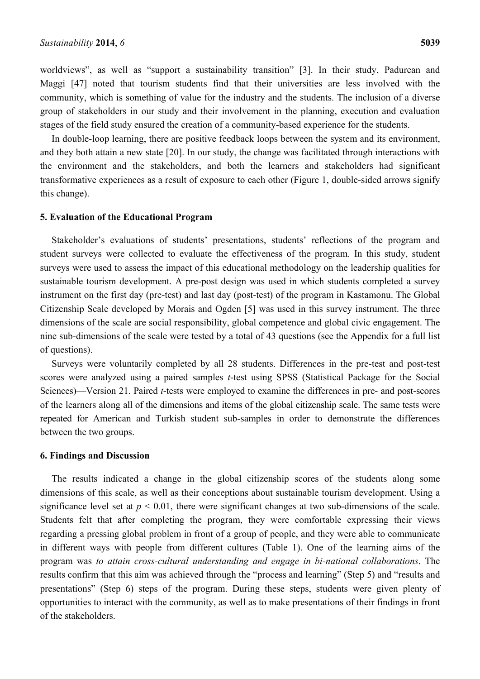worldviews", as well as "support a sustainability transition" [3]. In their study, Padurean and Maggi [47] noted that tourism students find that their universities are less involved with the community, which is something of value for the industry and the students. The inclusion of a diverse group of stakeholders in our study and their involvement in the planning, execution and evaluation stages of the field study ensured the creation of a community-based experience for the students.

In double-loop learning, there are positive feedback loops between the system and its environment, and they both attain a new state [20]. In our study, the change was facilitated through interactions with the environment and the stakeholders, and both the learners and stakeholders had significant transformative experiences as a result of exposure to each other (Figure 1, double-sided arrows signify this change).

#### **5. Evaluation of the Educational Program**

Stakeholder's evaluations of students' presentations, students' reflections of the program and student surveys were collected to evaluate the effectiveness of the program. In this study, student surveys were used to assess the impact of this educational methodology on the leadership qualities for sustainable tourism development. A pre-post design was used in which students completed a survey instrument on the first day (pre-test) and last day (post-test) of the program in Kastamonu. The Global Citizenship Scale developed by Morais and Ogden [5] was used in this survey instrument. The three dimensions of the scale are social responsibility, global competence and global civic engagement. The nine sub-dimensions of the scale were tested by a total of 43 questions (see the Appendix for a full list of questions).

Surveys were voluntarily completed by all 28 students. Differences in the pre-test and post-test scores were analyzed using a paired samples *t*-test using SPSS (Statistical Package for the Social Sciences)—Version 21. Paired *t*-tests were employed to examine the differences in pre- and post-scores of the learners along all of the dimensions and items of the global citizenship scale. The same tests were repeated for American and Turkish student sub-samples in order to demonstrate the differences between the two groups.

#### **6. Findings and Discussion**

The results indicated a change in the global citizenship scores of the students along some dimensions of this scale, as well as their conceptions about sustainable tourism development. Using a significance level set at  $p < 0.01$ , there were significant changes at two sub-dimensions of the scale. Students felt that after completing the program, they were comfortable expressing their views regarding a pressing global problem in front of a group of people, and they were able to communicate in different ways with people from different cultures (Table 1). One of the learning aims of the program was *to attain cross-cultural understanding and engage in bi-national collaborations*. The results confirm that this aim was achieved through the "process and learning" (Step 5) and "results and presentations" (Step 6) steps of the program. During these steps, students were given plenty of opportunities to interact with the community, as well as to make presentations of their findings in front of the stakeholders.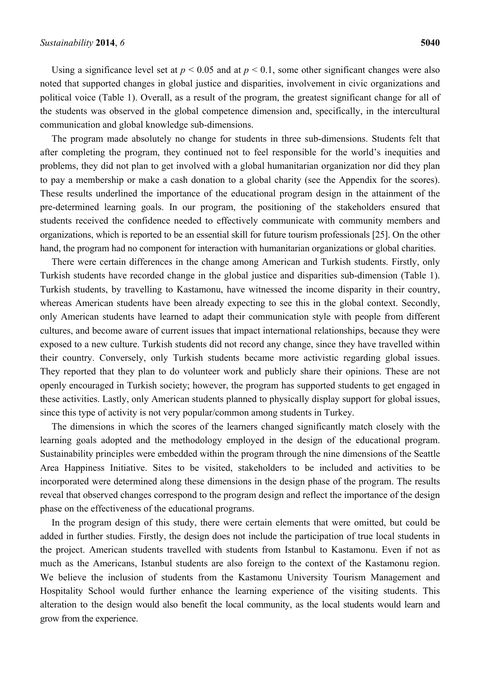Using a significance level set at  $p < 0.05$  and at  $p < 0.1$ , some other significant changes were also noted that supported changes in global justice and disparities, involvement in civic organizations and political voice (Table 1). Overall, as a result of the program, the greatest significant change for all of the students was observed in the global competence dimension and, specifically, in the intercultural communication and global knowledge sub-dimensions.

The program made absolutely no change for students in three sub-dimensions. Students felt that after completing the program, they continued not to feel responsible for the world's inequities and problems, they did not plan to get involved with a global humanitarian organization nor did they plan to pay a membership or make a cash donation to a global charity (see the Appendix for the scores). These results underlined the importance of the educational program design in the attainment of the pre-determined learning goals. In our program, the positioning of the stakeholders ensured that students received the confidence needed to effectively communicate with community members and organizations, which is reported to be an essential skill for future tourism professionals [25]. On the other hand, the program had no component for interaction with humanitarian organizations or global charities.

There were certain differences in the change among American and Turkish students. Firstly, only Turkish students have recorded change in the global justice and disparities sub-dimension (Table 1). Turkish students, by travelling to Kastamonu, have witnessed the income disparity in their country, whereas American students have been already expecting to see this in the global context. Secondly, only American students have learned to adapt their communication style with people from different cultures, and become aware of current issues that impact international relationships, because they were exposed to a new culture. Turkish students did not record any change, since they have travelled within their country. Conversely, only Turkish students became more activistic regarding global issues. They reported that they plan to do volunteer work and publicly share their opinions. These are not openly encouraged in Turkish society; however, the program has supported students to get engaged in these activities. Lastly, only American students planned to physically display support for global issues, since this type of activity is not very popular/common among students in Turkey.

The dimensions in which the scores of the learners changed significantly match closely with the learning goals adopted and the methodology employed in the design of the educational program. Sustainability principles were embedded within the program through the nine dimensions of the Seattle Area Happiness Initiative. Sites to be visited, stakeholders to be included and activities to be incorporated were determined along these dimensions in the design phase of the program. The results reveal that observed changes correspond to the program design and reflect the importance of the design phase on the effectiveness of the educational programs.

In the program design of this study, there were certain elements that were omitted, but could be added in further studies. Firstly, the design does not include the participation of true local students in the project. American students travelled with students from Istanbul to Kastamonu. Even if not as much as the Americans, Istanbul students are also foreign to the context of the Kastamonu region. We believe the inclusion of students from the Kastamonu University Tourism Management and Hospitality School would further enhance the learning experience of the visiting students. This alteration to the design would also benefit the local community, as the local students would learn and grow from the experience.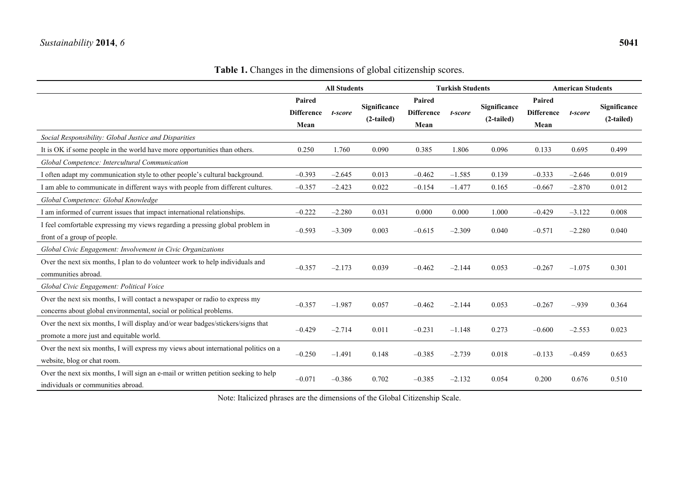| zenship scores.                     |                                       |  |                                     |         |                            |  |  |  |
|-------------------------------------|---------------------------------------|--|-------------------------------------|---------|----------------------------|--|--|--|
|                                     | <b>Turkish Students</b>               |  | <b>American Students</b>            |         |                            |  |  |  |
| Paired<br><b>Difference</b><br>Mean | Significance<br>t-score<br>(2-tailed) |  | Paired<br><b>Difference</b><br>Mean | t-score | Significance<br>(2-tailed) |  |  |  |

Table 1. Changes in the dimensions of global citizenship

**All Students** 

|                                                                                     | Paired            |          | Significance | Paired            |          | <b>Significance</b> | Paired            |          | Significance |
|-------------------------------------------------------------------------------------|-------------------|----------|--------------|-------------------|----------|---------------------|-------------------|----------|--------------|
|                                                                                     | <b>Difference</b> | t-score  |              | <b>Difference</b> | t-score  |                     | <b>Difference</b> | t-score  |              |
|                                                                                     | Mean              |          | (2-tailed)   | Mean              |          | $(2-tailed)$        | Mean              |          | $(2-tailed)$ |
| Social Responsibility: Global Justice and Disparities                               |                   |          |              |                   |          |                     |                   |          |              |
| It is OK if some people in the world have more opportunities than others.           | 0.250             | 1.760    | 0.090        | 0.385             | 1.806    | 0.096               | 0.133             | 0.695    | 0.499        |
| Global Competence: Intercultural Communication                                      |                   |          |              |                   |          |                     |                   |          |              |
| I often adapt my communication style to other people's cultural background.         | $-0.393$          | $-2.645$ | 0.013        | $-0.462$          | $-1.585$ | 0.139               | $-0.333$          | $-2.646$ | 0.019        |
| I am able to communicate in different ways with people from different cultures.     | $-0.357$          | $-2.423$ | 0.022        | $-0.154$          | $-1.477$ | 0.165               | $-0.667$          | $-2.870$ | 0.012        |
| Global Competence: Global Knowledge                                                 |                   |          |              |                   |          |                     |                   |          |              |
| I am informed of current issues that impact international relationships.            | $-0.222$          | $-2.280$ | 0.031        | 0.000             | 0.000    | 1.000               | $-0.429$          | $-3.122$ | 0.008        |
| I feel comfortable expressing my views regarding a pressing global problem in       | $-0.593$          | $-3.309$ | 0.003        | $-0.615$          | $-2.309$ | 0.040               | $-0.571$          | $-2.280$ | 0.040        |
| front of a group of people.                                                         |                   |          |              |                   |          |                     |                   |          |              |
| Global Civic Engagement: Involvement in Civic Organizations                         |                   |          |              |                   |          |                     |                   |          |              |
| Over the next six months, I plan to do volunteer work to help individuals and       | $-0.357$          | $-2.173$ | 0.039        | $-0.462$          | $-2.144$ | 0.053               | $-0.267$          | $-1.075$ | 0.301        |
| communities abroad.                                                                 |                   |          |              |                   |          |                     |                   |          |              |
| Global Civic Engagement: Political Voice                                            |                   |          |              |                   |          |                     |                   |          |              |
| Over the next six months, I will contact a newspaper or radio to express my         | $-0.357$          | $-1.987$ | 0.057        | $-0.462$          | $-2.144$ | 0.053               | $-0.267$          | $-.939$  | 0.364        |
| concerns about global environmental, social or political problems.                  |                   |          |              |                   |          |                     |                   |          |              |
| Over the next six months, I will display and/or wear badges/stickers/signs that     | $-0.429$          | $-2.714$ | 0.011        | $-0.231$          | $-1.148$ | 0.273               | $-0.600$          | $-2.553$ | 0.023        |
| promote a more just and equitable world.                                            |                   |          |              |                   |          |                     |                   |          |              |
| Over the next six months, I will express my views about international politics on a | $-0.250$          | $-1.491$ | 0.148        | $-0.385$          | $-2.739$ | 0.018               | $-0.133$          | $-0.459$ | 0.653        |
| website, blog or chat room.                                                         |                   |          |              |                   |          |                     |                   |          |              |
| Over the next six months, I will sign an e-mail or written petition seeking to help | $-0.071$          | $-0.386$ | 0.702        | $-0.385$          | $-2.132$ | 0.054               | 0.200             | 0.676    | 0.510        |
| individuals or communities abroad.                                                  |                   |          |              |                   |          |                     |                   |          |              |

Note: Italicized phrases are the dimensions of the Global Citizenship Scale.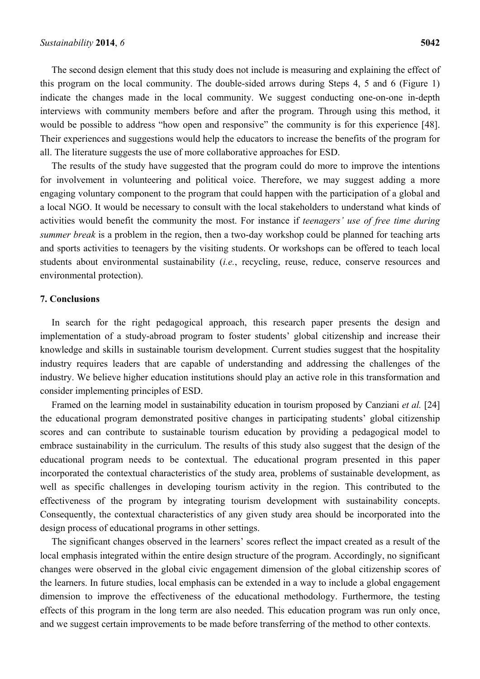The second design element that this study does not include is measuring and explaining the effect of this program on the local community. The double-sided arrows during Steps 4, 5 and 6 (Figure 1) indicate the changes made in the local community. We suggest conducting one-on-one in-depth interviews with community members before and after the program. Through using this method, it would be possible to address "how open and responsive" the community is for this experience [48]. Their experiences and suggestions would help the educators to increase the benefits of the program for all. The literature suggests the use of more collaborative approaches for ESD.

The results of the study have suggested that the program could do more to improve the intentions for involvement in volunteering and political voice. Therefore, we may suggest adding a more engaging voluntary component to the program that could happen with the participation of a global and a local NGO. It would be necessary to consult with the local stakeholders to understand what kinds of activities would benefit the community the most. For instance if *teenagers' use of free time during summer break* is a problem in the region, then a two-day workshop could be planned for teaching arts and sports activities to teenagers by the visiting students. Or workshops can be offered to teach local students about environmental sustainability (*i.e.*, recycling, reuse, reduce, conserve resources and environmental protection).

# **7. Conclusions**

In search for the right pedagogical approach, this research paper presents the design and implementation of a study-abroad program to foster students' global citizenship and increase their knowledge and skills in sustainable tourism development. Current studies suggest that the hospitality industry requires leaders that are capable of understanding and addressing the challenges of the industry. We believe higher education institutions should play an active role in this transformation and consider implementing principles of ESD.

Framed on the learning model in sustainability education in tourism proposed by Canziani *et al.* [24] the educational program demonstrated positive changes in participating students' global citizenship scores and can contribute to sustainable tourism education by providing a pedagogical model to embrace sustainability in the curriculum. The results of this study also suggest that the design of the educational program needs to be contextual. The educational program presented in this paper incorporated the contextual characteristics of the study area, problems of sustainable development, as well as specific challenges in developing tourism activity in the region. This contributed to the effectiveness of the program by integrating tourism development with sustainability concepts. Consequently, the contextual characteristics of any given study area should be incorporated into the design process of educational programs in other settings.

The significant changes observed in the learners' scores reflect the impact created as a result of the local emphasis integrated within the entire design structure of the program. Accordingly, no significant changes were observed in the global civic engagement dimension of the global citizenship scores of the learners. In future studies, local emphasis can be extended in a way to include a global engagement dimension to improve the effectiveness of the educational methodology. Furthermore, the testing effects of this program in the long term are also needed. This education program was run only once, and we suggest certain improvements to be made before transferring of the method to other contexts.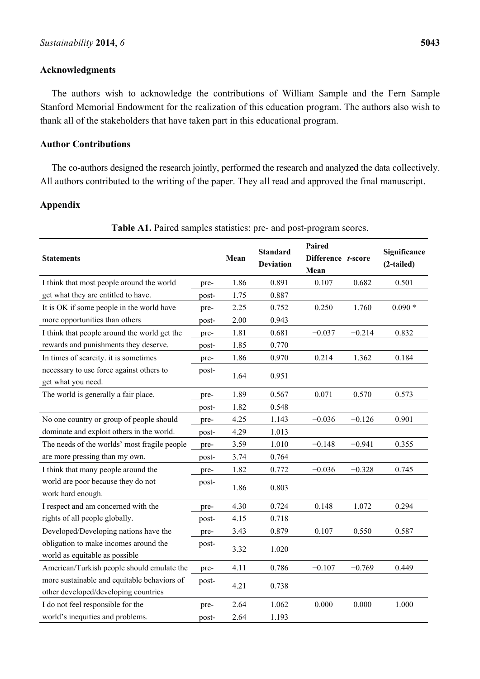# **Acknowledgments**

The authors wish to acknowledge the contributions of William Sample and the Fern Sample Stanford Memorial Endowment for the realization of this education program. The authors also wish to thank all of the stakeholders that have taken part in this educational program.

## **Author Contributions**

The co-authors designed the research jointly, performed the research and analyzed the data collectively. All authors contributed to the writing of the paper. They all read and approved the final manuscript.

# **Appendix**

| <b>Statements</b>                                                       |       | Mean | <b>Standard</b><br><b>Deviation</b> | Paired<br>Difference t-score<br>Mean |          | Significance<br>(2-tailed) |
|-------------------------------------------------------------------------|-------|------|-------------------------------------|--------------------------------------|----------|----------------------------|
| I think that most people around the world                               | pre-  | 1.86 | 0.891                               | 0.107                                | 0.682    | 0.501                      |
| get what they are entitled to have.                                     | post- | 1.75 | 0.887                               |                                      |          |                            |
| It is OK if some people in the world have                               | pre-  | 2.25 | 0.752                               | 0.250                                | 1.760    | $0.090*$                   |
| more opportunities than others                                          | post- | 2.00 | 0.943                               |                                      |          |                            |
| I think that people around the world get the                            | pre-  | 1.81 | 0.681                               | $-0.037$                             | $-0.214$ | 0.832                      |
| rewards and punishments they deserve.                                   | post- | 1.85 | 0.770                               |                                      |          |                            |
| In times of scarcity. it is sometimes                                   | pre-  | 1.86 | 0.970                               | 0.214                                | 1.362    | 0.184                      |
| necessary to use force against others to<br>get what you need.          | post- | 1.64 | 0.951                               |                                      |          |                            |
| The world is generally a fair place.                                    | pre-  | 1.89 | 0.567                               | 0.071                                | 0.570    | 0.573                      |
|                                                                         | post- | 1.82 | 0.548                               |                                      |          |                            |
| No one country or group of people should                                | pre-  | 4.25 | 1.143                               | $-0.036$                             | $-0.126$ | 0.901                      |
| dominate and exploit others in the world.                               | post- | 4.29 | 1.013                               |                                      |          |                            |
| The needs of the worlds' most fragile people                            | pre-  | 3.59 | 1.010                               | $-0.148$                             | $-0.941$ | 0.355                      |
| are more pressing than my own.                                          | post- | 3.74 | 0.764                               |                                      |          |                            |
| I think that many people around the                                     | pre-  | 1.82 | 0.772                               | $-0.036$                             | $-0.328$ | 0.745                      |
| world are poor because they do not<br>work hard enough.                 | post- | 1.86 | 0.803                               |                                      |          |                            |
| I respect and am concerned with the                                     | pre-  | 4.30 | 0.724                               | 0.148                                | 1.072    | 0.294                      |
| rights of all people globally.                                          | post- | 4.15 | 0.718                               |                                      |          |                            |
| Developed/Developing nations have the                                   | pre-  | 3.43 | 0.879                               | 0.107                                | 0.550    | 0.587                      |
| obligation to make incomes around the<br>world as equitable as possible | post- | 3.32 | 1.020                               |                                      |          |                            |
| American/Turkish people should emulate the                              | pre-  | 4.11 | 0.786                               | $-0.107$                             | $-0.769$ | 0.449                      |
| more sustainable and equitable behaviors of                             |       |      |                                     |                                      |          |                            |
| other developed/developing countries                                    |       | 4.21 | 0.738                               |                                      |          |                            |
| I do not feel responsible for the                                       | pre-  | 2.64 | 1.062                               | 0.000                                | 0.000    | 1.000                      |
| world's inequities and problems.                                        | post- | 2.64 | 1.193                               |                                      |          |                            |

## **Table A1.** Paired samples statistics: pre- and post-program scores.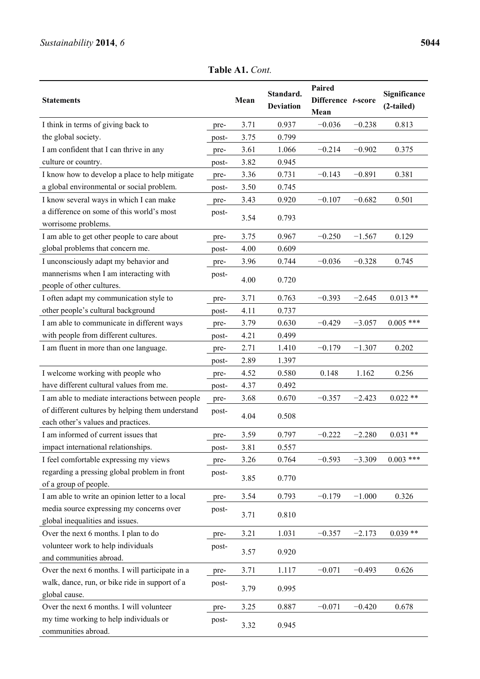**Table A1.** *Cont.* 

| <b>Statements</b>                                |       | Mean | Standard.<br><b>Deviation</b> | Paired<br>Difference t-score<br>Mean |          | Significance<br>(2-tailed) |
|--------------------------------------------------|-------|------|-------------------------------|--------------------------------------|----------|----------------------------|
| I think in terms of giving back to               | pre-  | 3.71 | 0.937                         | $-0.036$                             | $-0.238$ | 0.813                      |
| the global society.                              | post- | 3.75 | 0.799                         |                                      |          |                            |
| I am confident that I can thrive in any          | pre-  | 3.61 | 1.066                         | $-0.214$                             | $-0.902$ | 0.375                      |
| culture or country.                              | post- | 3.82 | 0.945                         |                                      |          |                            |
| I know how to develop a place to help mitigate   | pre-  | 3.36 | 0.731                         | $-0.143$                             | $-0.891$ | 0.381                      |
| a global environmental or social problem.        | post- | 3.50 | 0.745                         |                                      |          |                            |
| I know several ways in which I can make          | pre-  | 3.43 | 0.920                         | $-0.107$                             | $-0.682$ | 0.501                      |
| a difference on some of this world's most        | post- |      |                               |                                      |          |                            |
| worrisome problems.                              |       | 3.54 | 0.793                         |                                      |          |                            |
| I am able to get other people to care about      | pre-  | 3.75 | 0.967                         | $-0.250$                             | $-1.567$ | 0.129                      |
| global problems that concern me.                 | post- | 4.00 | 0.609                         |                                      |          |                            |
| I unconsciously adapt my behavior and            | pre-  | 3.96 | 0.744                         | $-0.036$                             | $-0.328$ | 0.745                      |
| mannerisms when I am interacting with            | post- |      |                               |                                      |          |                            |
| people of other cultures.                        |       | 4.00 | 0.720                         |                                      |          |                            |
| I often adapt my communication style to          | pre-  | 3.71 | 0.763                         | $-0.393$                             | $-2.645$ | $0.013**$                  |
| other people's cultural background               | post- | 4.11 | 0.737                         |                                      |          |                            |
| I am able to communicate in different ways       | pre-  | 3.79 | 0.630                         | $-0.429$                             | $-3.057$ | $0.005$ ***                |
| with people from different cultures.             | post- | 4.21 | 0.499                         |                                      |          |                            |
| I am fluent in more than one language.           | pre-  | 2.71 | 1.410                         | $-0.179$                             | $-1.307$ | 0.202                      |
|                                                  | post- | 2.89 | 1.397                         |                                      |          |                            |
| I welcome working with people who                | pre-  | 4.52 | 0.580                         | 0.148                                | 1.162    | 0.256                      |
| have different cultural values from me.          | post- | 4.37 | 0.492                         |                                      |          |                            |
| I am able to mediate interactions between people | pre-  | 3.68 | 0.670                         | $-0.357$                             | $-2.423$ | $0.022**$                  |
| of different cultures by helping them understand | post- |      |                               |                                      |          |                            |
| each other's values and practices.               |       | 4.04 | 0.508                         |                                      |          |                            |
| I am informed of current issues that             | pre-  | 3.59 | 0.797                         | $-0.222$                             | $-2.280$ | $0.031**$                  |
| impact international relationships.              | post- | 3.81 | 0.557                         |                                      |          |                            |
| I feel comfortable expressing my views           | pre-  | 3.26 | 0.764                         | $-0.593$                             | $-3.309$ | $0.003$ ***                |
| regarding a pressing global problem in front     | post- | 3.85 | 0.770                         |                                      |          |                            |
| of a group of people.                            |       |      |                               |                                      |          |                            |
| I am able to write an opinion letter to a local  | pre-  | 3.54 | 0.793                         | $-0.179$                             | $-1.000$ | 0.326                      |
| media source expressing my concerns over         | post- | 3.71 | 0.810                         |                                      |          |                            |
| global inequalities and issues.                  |       |      |                               |                                      |          |                            |
| Over the next 6 months. I plan to do             | pre-  | 3.21 | 1.031                         | $-0.357$                             | $-2.173$ | $0.039**$                  |
| volunteer work to help individuals               | post- | 3.57 | 0.920                         |                                      |          |                            |
| and communities abroad.                          |       |      |                               |                                      |          |                            |
| Over the next 6 months. I will participate in a  | pre-  | 3.71 | 1.117                         | $-0.071$                             | $-0.493$ | 0.626                      |
| walk, dance, run, or bike ride in support of a   | post- | 3.79 | 0.995                         |                                      |          |                            |
| global cause.                                    |       |      |                               |                                      |          |                            |
| Over the next 6 months. I will volunteer         | pre-  | 3.25 | 0.887                         | $-0.071$                             | $-0.420$ | 0.678                      |
| my time working to help individuals or           | post- | 3.32 | 0.945                         |                                      |          |                            |
| communities abroad.                              |       |      |                               |                                      |          |                            |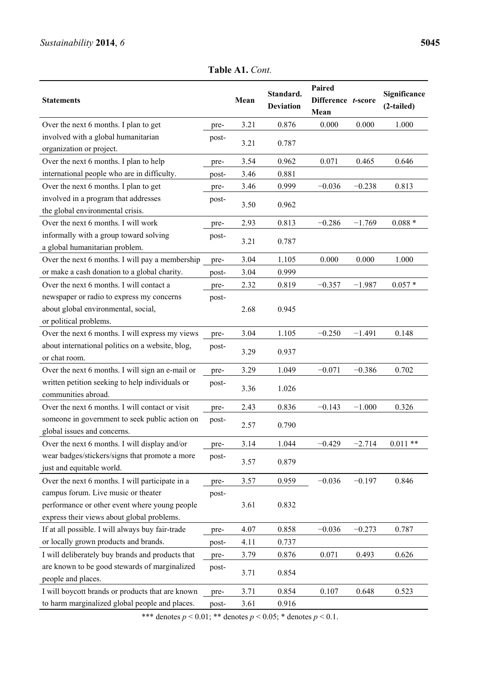**Table A1.** *Cont.* 

| <b>Statements</b>                                |       | Mean | Standard.<br><b>Deviation</b> | Paired<br>Difference t-score<br>Mean |          | Significance<br>(2-tailed) |  |
|--------------------------------------------------|-------|------|-------------------------------|--------------------------------------|----------|----------------------------|--|
| Over the next 6 months. I plan to get            | pre-  | 3.21 | 0.876                         | 0.000                                | 0.000    | 1.000                      |  |
| involved with a global humanitarian              | post- |      |                               |                                      |          |                            |  |
| organization or project.                         |       | 3.21 | 0.787                         |                                      |          |                            |  |
| Over the next 6 months. I plan to help           | pre-  | 3.54 | 0.962                         | 0.071                                | 0.465    | 0.646                      |  |
| international people who are in difficulty.      | post- | 3.46 | 0.881                         |                                      |          |                            |  |
| Over the next 6 months. I plan to get            | pre-  | 3.46 | 0.999                         | $-0.036$                             | $-0.238$ | 0.813                      |  |
| involved in a program that addresses             | post- |      |                               |                                      |          |                            |  |
| the global environmental crisis.                 |       | 3.50 | 0.962                         |                                      |          |                            |  |
| Over the next 6 months. I will work              | pre-  | 2.93 | 0.813                         | $-0.286$                             | $-1.769$ | $0.088 *$                  |  |
| informally with a group toward solving           | post- |      | 0.787                         |                                      |          |                            |  |
| a global humanitarian problem.                   |       | 3.21 |                               |                                      |          |                            |  |
| Over the next 6 months. I will pay a membership  | pre-  | 3.04 | 1.105                         | 0.000                                | 0.000    | 1.000                      |  |
| or make a cash donation to a global charity.     | post- | 3.04 | 0.999                         |                                      |          |                            |  |
| Over the next 6 months. I will contact a         | pre-  | 2.32 | 0.819                         | $-0.357$                             | $-1.987$ | $0.057*$                   |  |
| newspaper or radio to express my concerns        | post- |      |                               |                                      |          |                            |  |
| about global environmental, social,              |       | 2.68 | 0.945                         |                                      |          |                            |  |
| or political problems.                           |       |      |                               |                                      |          |                            |  |
| Over the next 6 months. I will express my views  | pre-  | 3.04 | 1.105                         | $-0.250$                             | $-1.491$ | 0.148                      |  |
| about international politics on a website, blog, | post- | 3.29 | 0.937                         |                                      |          |                            |  |
| or chat room.                                    |       |      |                               |                                      |          |                            |  |
| Over the next 6 months. I will sign an e-mail or | pre-  | 3.29 | 1.049                         | $-0.071$                             | $-0.386$ | 0.702                      |  |
| written petition seeking to help individuals or  | post- | 3.36 | 1.026                         |                                      |          |                            |  |
| communities abroad.                              |       |      |                               |                                      |          |                            |  |
| Over the next 6 months. I will contact or visit  | pre-  | 2.43 | 0.836                         | $-0.143$                             | $-1.000$ | 0.326                      |  |
| someone in government to seek public action on   | post- | 2.57 | 0.790                         |                                      |          |                            |  |
| global issues and concerns.                      |       |      |                               |                                      |          |                            |  |
| Over the next 6 months. I will display and/or    | pre-  | 3.14 | 1.044                         | $-0.429$                             | $-2.714$ | $0.011**$                  |  |
| wear badges/stickers/signs that promote a more   | post- | 3.57 | 0.879                         |                                      |          |                            |  |
| just and equitable world.                        |       |      |                               |                                      |          |                            |  |
| Over the next 6 months. I will participate in a  | pre-  | 3.57 | 0.959                         | $-0.036$                             | $-0.197$ | 0.846                      |  |
| campus forum. Live music or theater              | post- |      |                               |                                      |          |                            |  |
| performance or other event where young people    |       | 3.61 | 0.832                         |                                      |          |                            |  |
| express their views about global problems.       |       |      |                               |                                      |          |                            |  |
| If at all possible. I will always buy fair-trade | pre-  | 4.07 | 0.858                         | $-0.036$                             | $-0.273$ | 0.787                      |  |
| or locally grown products and brands.            | post- | 4.11 | 0.737                         |                                      |          |                            |  |
| I will deliberately buy brands and products that | pre-  | 3.79 | 0.876                         | 0.071                                | 0.493    | 0.626                      |  |
| are known to be good stewards of marginalized    | post- | 3.71 | 0.854                         |                                      |          |                            |  |
| people and places.                               |       |      |                               |                                      |          |                            |  |
| I will boycott brands or products that are known | pre-  | 3.71 | 0.854                         | 0.107                                | 0.648    | 0.523                      |  |
| to harm marginalized global people and places.   | post- | 3.61 | 0.916                         |                                      |          |                            |  |

\*\*\* denotes  $p < 0.01$ ; \*\* denotes  $p < 0.05$ ; \* denotes  $p < 0.1$ .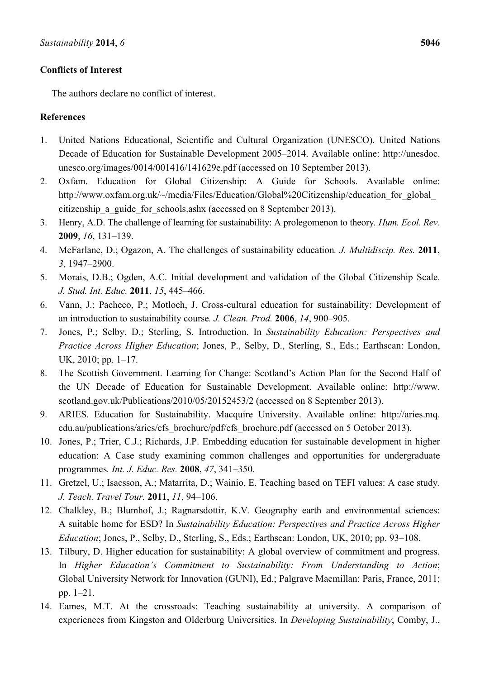# **Conflicts of Interest**

The authors declare no conflict of interest.

# **References**

- 1. United Nations Educational, Scientific and Cultural Organization (UNESCO). United Nations Decade of Education for Sustainable Development 2005–2014. Available online: http://unesdoc. unesco.org/images/0014/001416/141629e.pdf (accessed on 10 September 2013).
- 2. Oxfam. Education for Global Citizenship: A Guide for Schools. Available online: http://www.oxfam.org.uk/~/media/Files/Education/Global%20Citizenship/education for global citizenship a guide for schools.ashx (accessed on 8 September 2013).
- 3. Henry, A.D. The challenge of learning for sustainability: A prolegomenon to theory*. Hum. Ecol. Rev.* **2009**, *16*, 131–139.
- 4. McFarlane, D.; Ogazon, A. The challenges of sustainability education*. J. Multidiscip. Res.* **2011**, *3*, 1947–2900.
- 5. Morais, D.B.; Ogden, A.C. Initial development and validation of the Global Citizenship Scale*. J. Stud. Int. Educ.* **2011**, *15*, 445–466.
- 6. Vann, J.; Pacheco, P.; Motloch, J. Cross-cultural education for sustainability: Development of an introduction to sustainability course*. J. Clean. Prod.* **2006**, *14*, 900–905.
- 7. Jones, P.; Selby, D.; Sterling, S. Introduction. In *Sustainability Education: Perspectives and Practice Across Higher Education*; Jones, P., Selby, D., Sterling, S., Eds.; Earthscan: London, UK, 2010; pp. 1–17.
- 8. The Scottish Government. Learning for Change: Scotland's Action Plan for the Second Half of the UN Decade of Education for Sustainable Development. Available online: http://www. scotland.gov.uk/Publications/2010/05/20152453/2 (accessed on 8 September 2013).
- 9. ARIES. Education for Sustainability. Macquire University. Available online: http://aries.mq. edu.au/publications/aries/efs\_brochure/pdf/efs\_brochure.pdf (accessed on 5 October 2013).
- 10. Jones, P.; Trier, C.J.; Richards, J.P. Embedding education for sustainable development in higher education: A Case study examining common challenges and opportunities for undergraduate programmes*. Int. J. Educ. Res.* **2008**, *47*, 341–350.
- 11. Gretzel, U.; Isacsson, A.; Matarrita, D.; Wainio, E. Teaching based on TEFI values: A case study*. J. Teach. Travel Tour.* **2011**, *11*, 94–106.
- 12. Chalkley, B.; Blumhof, J.; Ragnarsdottir, K.V. Geography earth and environmental sciences: A suitable home for ESD? In *Sustainability Education: Perspectives and Practice Across Higher Education*; Jones, P., Selby, D., Sterling, S., Eds.; Earthscan: London, UK, 2010; pp. 93–108.
- 13. Tilbury, D. Higher education for sustainability: A global overview of commitment and progress. In *Higher Education's Commitment to Sustainability: From Understanding to Action*; Global University Network for Innovation (GUNI), Ed.; Palgrave Macmillan: Paris, France, 2011; pp. 1–21.
- 14. Eames, M.T. At the crossroads: Teaching sustainability at university. A comparison of experiences from Kingston and Olderburg Universities. In *Developing Sustainability*; Comby, J.,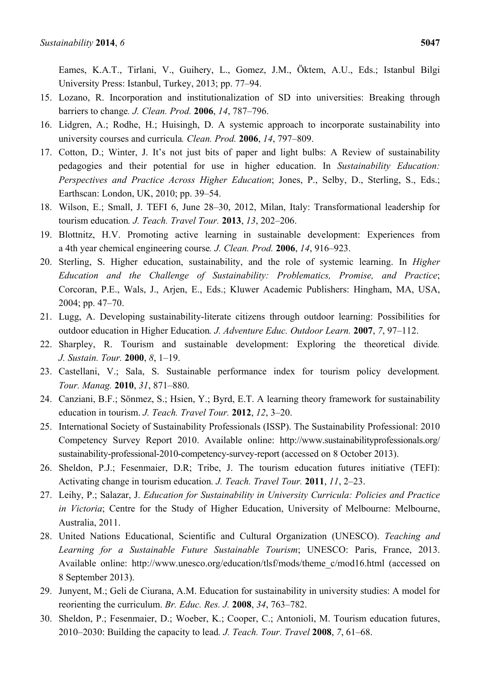Eames, K.A.T., Tirlani, V., Guihery, L., Gomez, J.M., Öktem, A.U., Eds.; Istanbul Bilgi University Press: Istanbul, Turkey, 2013; pp. 77–94.

- 15. Lozano, R. Incorporation and institutionalization of SD into universities: Breaking through barriers to change*. J. Clean. Prod.* **2006**, *14*, 787–796.
- 16. Lidgren, A.; Rodhe, H.; Huisingh, D. A systemic approach to incorporate sustainability into university courses and curricula*. Clean. Prod.* **2006**, *14*, 797–809.
- 17. Cotton, D.; Winter, J. It's not just bits of paper and light bulbs: A Review of sustainability pedagogies and their potential for use in higher education. In *Sustainability Education: Perspectives and Practice Across Higher Education*; Jones, P., Selby, D., Sterling, S., Eds.; Earthscan: London, UK, 2010; pp. 39–54.
- 18. Wilson, E.; Small, J. TEFI 6, June 28–30, 2012, Milan, Italy: Transformational leadership for tourism education*. J. Teach. Travel Tour.* **2013**, *13*, 202–206.
- 19. Blottnitz, H.V. Promoting active learning in sustainable development: Experiences from a 4th year chemical engineering course*. J. Clean. Prod.* **2006**, *14*, 916–923.
- 20. Sterling, S. Higher education, sustainability, and the role of systemic learning. In *Higher Education and the Challenge of Sustainability: Problematics, Promise, and Practice*; Corcoran, P.E., Wals, J., Arjen, E., Eds.; Kluwer Academic Publishers: Hingham, MA, USA, 2004; pp. 47–70.
- 21. Lugg, A. Developing sustainability-literate citizens through outdoor learning: Possibilities for outdoor education in Higher Education*. J. Adventure Educ. Outdoor Learn.* **2007**, *7*, 97–112.
- 22. Sharpley, R. Tourism and sustainable development: Exploring the theoretical divide*. J. Sustain. Tour.* **2000**, *8*, 1–19.
- 23. Castellani, V.; Sala, S. Sustainable performance index for tourism policy development*. Tour. Manag.* **2010**, *31*, 871–880.
- 24. Canziani, B.F.; Sönmez, S.; Hsien, Y.; Byrd, E.T. A learning theory framework for sustainability education in tourism. *J. Teach. Travel Tour.* **2012**, *12*, 3–20.
- 25. International Society of Sustainability Professionals (ISSP). The Sustainability Professional: 2010 Competency Survey Report 2010. Available online: http://www.sustainabilityprofessionals.org/ sustainability-professional-2010-competency-survey-report (accessed on 8 October 2013).
- 26. Sheldon, P.J.; Fesenmaier, D.R; Tribe, J. The tourism education futures initiative (TEFI): Activating change in tourism education*. J. Teach. Travel Tour.* **2011**, *11*, 2–23.
- 27. Leihy, P.; Salazar, J. *Education for Sustainability in University Curricula: Policies and Practice in Victoria*; Centre for the Study of Higher Education, University of Melbourne: Melbourne, Australia, 2011.
- 28. United Nations Educational, Scientific and Cultural Organization (UNESCO). *Teaching and Learning for a Sustainable Future Sustainable Tourism*; UNESCO: Paris, France, 2013. Available online: http://www.unesco.org/education/tlsf/mods/theme\_c/mod16.html (accessed on 8 September 2013).
- 29. Junyent, M.; Geli de Ciurana, A.M. Education for sustainability in university studies: A model for reorienting the curriculum. *Br. Educ. Res. J.* **2008**, *34*, 763–782.
- 30. Sheldon, P.; Fesenmaier, D.; Woeber, K.; Cooper, C.; Antonioli, M. Tourism education futures, 2010–2030: Building the capacity to lead*. J. Teach. Tour. Travel* **2008**, *7*, 61–68.